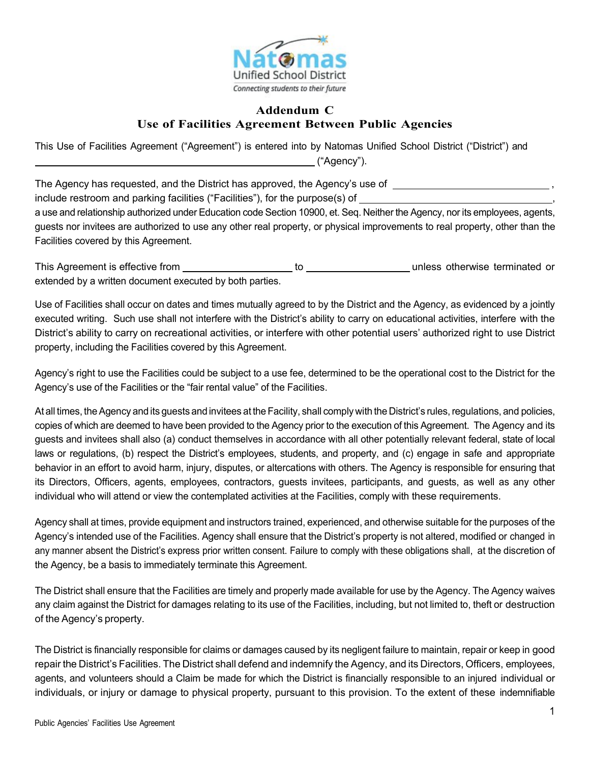

## **Addendum C Use of Facilities Agreement Between Public Agencies**

This Use of Facilities Agreement ("Agreement") is entered into by Natomas Unified School District ("District") and ("Agency").

The Agency has requested, and the District has approved, the Agency's use of  $\overline{a}$  ,  $\overline{a}$  ,  $\overline{a}$  ,  $\overline{a}$  ,  $\overline{a}$  ,  $\overline{a}$  ,  $\overline{a}$  ,  $\overline{a}$  ,  $\overline{a}$  ,  $\overline{a}$  ,  $\overline{a}$  ,  $\overline{a}$  ,  $\overline{a}$  ,  $\$ include restroom and parking facilities ("Facilities"), for the purpose(s) of ,

a use and relationship authorized under Education code Section 10900, et. Seq. Neither the Agency, nor its employees, agents, guests nor invitees are authorized to use any other real property, or physical improvements to real property, other than the Facilities covered by this Agreement.

This Agreement is effective from the unit of the unless otherwise terminated or extended by a written document executed by both parties.

Use of Facilities shall occur on dates and times mutually agreed to by the District and the Agency, as evidenced by a jointly executed writing. Such use shall not interfere with the District's ability to carry on educational activities, interfere with the District's ability to carry on recreational activities, or interfere with other potential users' authorized right to use District property, including the Facilities covered by this Agreement.

Agency's right to use the Facilities could be subject to a use fee, determined to be the operational cost to the District for the Agency's use of the Facilities or the "fair rental value" of the Facilities.

At all times, the Agency and its guests and invitees at the Facility, shall comply with the District's rules, regulations, and policies, copies of which are deemed to have been provided to the Agency prior to the execution of this Agreement. The Agency and its guests and invitees shall also (a) conduct themselves in accordance with all other potentially relevant federal, state of local laws or regulations, (b) respect the District's employees, students, and property, and (c) engage in safe and appropriate behavior in an effort to avoid harm, injury, disputes, or altercations with others. The Agency is responsible for ensuring that its Directors, Officers, agents, employees, contractors, guests invitees, participants, and guests, as well as any other individual who will attend or view the contemplated activities at the Facilities, comply with these requirements.

Agency shall at times, provide equipment and instructors trained, experienced, and otherwise suitable for the purposes of the Agency's intended use of the Facilities. Agency shall ensure that the District's property is not altered, modified or changed in any manner absent the District's express prior written consent. Failure to comply with these obligations shall, at the discretion of the Agency, be a basis to immediately terminate this Agreement.

The District shall ensure that the Facilities are timely and properly made available for use by the Agency. The Agency waives any claim against the District for damages relating to its use of the Facilities, including, but not limited to, theft or destruction of the Agency's property.

The District is financially responsible for claims or damages caused by its negligent failure to maintain, repair or keep in good repair the District's Facilities. The District shall defend and indemnify the Agency, and its Directors, Officers, employees, agents, and volunteers should a Claim be made for which the District is financially responsible to an injured individual or individuals, or injury or damage to physical property, pursuant to this provision. To the extent of these indemnifiable